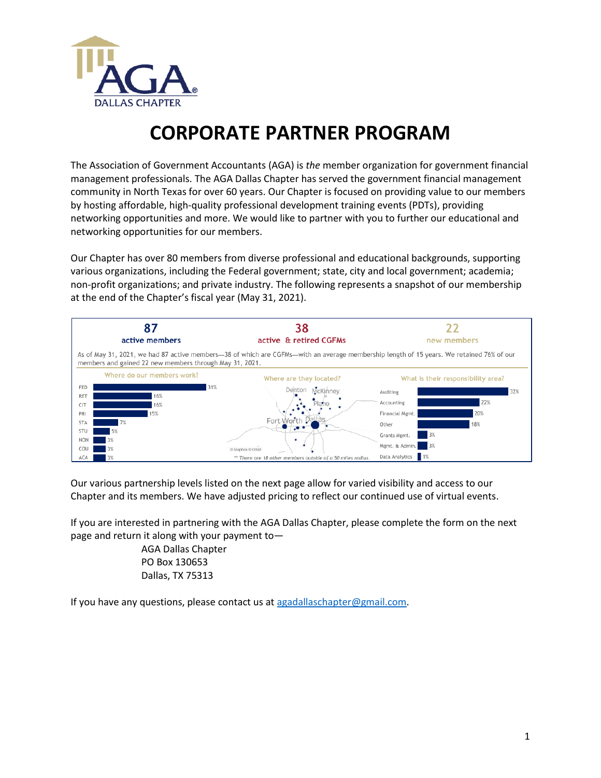

## **CORPORATE PARTNER PROGRAM**

The Association of Government Accountants (AGA) is *the* member organization for government financial management professionals. The AGA Dallas Chapter has served the government financial management community in North Texas for over 60 years. Our Chapter is focused on providing value to our members by hosting affordable, high-quality professional development training events (PDTs), providing networking opportunities and more. We would like to partner with you to further our educational and networking opportunities for our members.

Our Chapter has over 80 members from diverse professional and educational backgrounds, supporting various organizations, including the Federal government; state, city and local government; academia; non-profit organizations; and private industry. The following represents a snapshot of our membership at the end of the Chapter's fiscal year (May 31, 2021).



Our various partnership levels listed on the next page allow for varied visibility and access to our Chapter and its members. We have adjusted pricing to reflect our continued use of virtual events.

If you are interested in partnering with the AGA Dallas Chapter, please complete the form on the next page and return it along with your payment to—

> AGA Dallas Chapter PO Box 130653 Dallas, TX 75313

If you have any questions, please contact us at agadallaschapter@gmail.com.